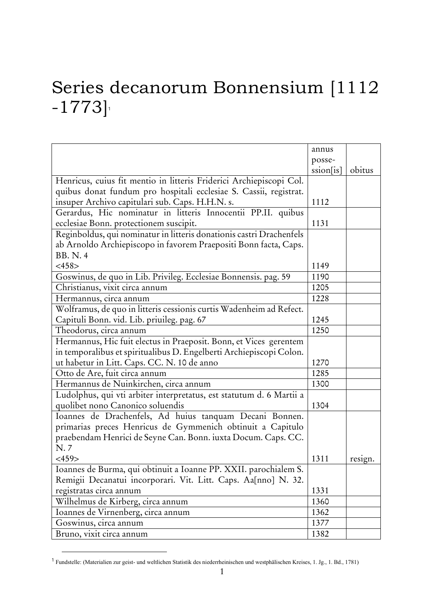## Series decanorum Bonnensium [1112  $-1773$ ]

|                                                                      | annus     |         |
|----------------------------------------------------------------------|-----------|---------|
|                                                                      | posse-    |         |
|                                                                      | ssion[is] | obitus  |
| Henricus, cuius fit mentio in litteris Friderici Archiepiscopi Col.  |           |         |
| quibus donat fundum pro hospitali ecclesiae S. Cassii, registrat.    |           |         |
| insuper Archivo capitulari sub. Caps. H.H.N. s.                      | 1112      |         |
| Gerardus, Hic nominatur in litteris Innocentii PP.II. quibus         |           |         |
| ecclesiae Bonn. protectionem suscipit.                               | 1131      |         |
| Reginboldus, qui nominatur in litteris donationis castri Drachenfels |           |         |
| ab Arnoldo Archiepiscopo in favorem Praepositi Bonn facta, Caps.     |           |         |
| <b>BB. N. 4</b>                                                      |           |         |
| $<$ 458>                                                             | 1149      |         |
| Goswinus, de quo in Lib. Privileg. Ecclesiae Bonnensis. pag. 59      | 1190      |         |
| Christianus, vixit circa annum                                       | 1205      |         |
| Hermannus, circa annum                                               | 1228      |         |
| Wolframus, de quo in litteris cessionis curtis Wadenheim ad Refect.  |           |         |
| Capituli Bonn. vid. Lib. priuileg. pag. 67                           | 1245      |         |
| Theodorus, circa annum                                               | 1250      |         |
| Hermannus, Hic fuit electus in Praeposit. Bonn, et Vices gerentem    |           |         |
| in temporalibus et spiritualibus D. Engelberti Archiepiscopi Colon.  |           |         |
| ut habetur in Litt. Caps. CC. N. 10 de anno                          | 1270      |         |
| Otto de Are, fuit circa annum                                        | 1285      |         |
| Hermannus de Nuinkirchen, circa annum                                | 1300      |         |
| Ludolphus, qui vti arbiter interpretatus, est statutum d. 6 Martii a |           |         |
| quolibet nono Canonico soluendis                                     | 1304      |         |
| Ioannes de Drachenfels, Ad huius tanquam Decani Bonnen.              |           |         |
| primarias preces Henricus de Gymmenich obtinuit a Capitulo           |           |         |
| praebendam Henrici de Seyne Can. Bonn. iuxta Docum. Caps. CC.        |           |         |
| N.7                                                                  |           |         |
| $<$ 459>                                                             | 1311      | resign. |
| Ioannes de Burma, qui obtinuit a Ioanne PP. XXII. parochialem S.     |           |         |
| Remigii Decanatui incorporari. Vit. Litt. Caps. Aa[nno] N. 32.       |           |         |
| registratas circa annum                                              | 1331      |         |
| Wilhelmus de Kirberg, circa annum                                    | 1360      |         |
| Ioannes de Virnenberg, circa annum                                   | 1362      |         |
| Goswinus, circa annum                                                | 1377      |         |
| Bruno, vixit circa annum                                             | 1382      |         |
|                                                                      |           |         |

<sup>&</sup>lt;sup>1</sup> Fundstelle: (Materialien zur geist- und weltlichen Statistik des niederrheinischen und westphälischen Kreises, 1. Jg., 1. Bd., 1781)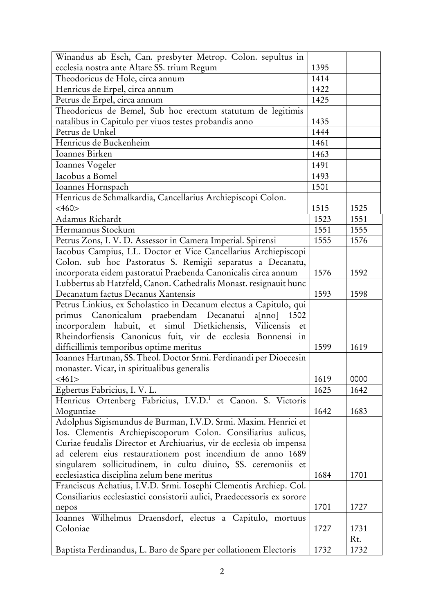| ecclesia nostra ante Altare SS. trium Regum<br>1395<br>Theodoricus de Hole, circa annum<br>1414<br>Henricus de Erpel, circa annum<br>1422<br>Petrus de Erpel, circa annum<br>1425<br>Theodoricus de Bemel, Sub hoc erectum statutum de legitimis<br>natalibus in Capitulo per viuos testes probandis anno<br>1435<br>Petrus de Unkel<br>1444<br>Henricus de Buckenheim<br>1461<br>Ioannes Birken<br>1463 |
|----------------------------------------------------------------------------------------------------------------------------------------------------------------------------------------------------------------------------------------------------------------------------------------------------------------------------------------------------------------------------------------------------------|
|                                                                                                                                                                                                                                                                                                                                                                                                          |
|                                                                                                                                                                                                                                                                                                                                                                                                          |
|                                                                                                                                                                                                                                                                                                                                                                                                          |
|                                                                                                                                                                                                                                                                                                                                                                                                          |
|                                                                                                                                                                                                                                                                                                                                                                                                          |
|                                                                                                                                                                                                                                                                                                                                                                                                          |
|                                                                                                                                                                                                                                                                                                                                                                                                          |
|                                                                                                                                                                                                                                                                                                                                                                                                          |
|                                                                                                                                                                                                                                                                                                                                                                                                          |
| Ioannes Vogeler<br>1491                                                                                                                                                                                                                                                                                                                                                                                  |
| Iacobus a Bomel<br>1493                                                                                                                                                                                                                                                                                                                                                                                  |
| Ioannes Hornspach<br>1501                                                                                                                                                                                                                                                                                                                                                                                |
| Henricus de Schmalkardia, Cancellarius Archiepiscopi Colon.                                                                                                                                                                                                                                                                                                                                              |
| $<$ 460 $>$<br>1515<br>1525                                                                                                                                                                                                                                                                                                                                                                              |
| Adamus Richardt<br>1523<br>1551                                                                                                                                                                                                                                                                                                                                                                          |
| Hermannus Stockum<br>1551<br>1555                                                                                                                                                                                                                                                                                                                                                                        |
| Petrus Zons, I. V. D. Assessor in Camera Imperial. Spirensi<br>1555<br>1576                                                                                                                                                                                                                                                                                                                              |
| Iacobus Campius, LL. Doctor et Vice Cancellarius Archiepiscopi                                                                                                                                                                                                                                                                                                                                           |
| Colon. sub hoc Pastoratus S. Remigii separatus a Decanatu,                                                                                                                                                                                                                                                                                                                                               |
| incorporata eidem pastoratui Praebenda Canonicalis circa annum<br>1576<br>1592                                                                                                                                                                                                                                                                                                                           |
| Lubbertus ab Hatzfeld, Canon. Cathedralis Monast. resignauit hunc                                                                                                                                                                                                                                                                                                                                        |
| Decanatum factus Decanus Xantensis<br>1593<br>1598                                                                                                                                                                                                                                                                                                                                                       |
| Petrus Linkius, ex Scholastico in Decanum electus a Capitulo, qui                                                                                                                                                                                                                                                                                                                                        |
| primus Canonicalum praebendam Decanatui<br>$a$ [nno]<br>1502                                                                                                                                                                                                                                                                                                                                             |
| incorporalem habuit, et simul Dietkichensis, Vilicensis et                                                                                                                                                                                                                                                                                                                                               |
| Rheindorfiensis Canonicus fuit, vir de ecclesia Bonnensi in                                                                                                                                                                                                                                                                                                                                              |
| difficillimis temporibus optime meritus<br>1599<br>1619                                                                                                                                                                                                                                                                                                                                                  |
| Ioannes Hartman, SS. Theol. Doctor Srmi. Ferdinandi per Dioecesin                                                                                                                                                                                                                                                                                                                                        |
| monaster. Vicar, in spiritualibus generalis                                                                                                                                                                                                                                                                                                                                                              |
| 1619<br>0000<br>$<$ 461>                                                                                                                                                                                                                                                                                                                                                                                 |
| Egbertus Fabricius, I. V. L.<br>1625<br>1642                                                                                                                                                                                                                                                                                                                                                             |
| Henricus Ortenberg Fabricius, I.V.D. <sup>1</sup> et Canon. S. Victoris                                                                                                                                                                                                                                                                                                                                  |
| Moguntiae<br>1642<br>1683                                                                                                                                                                                                                                                                                                                                                                                |
| Adolphus Sigismundus de Burman, I.V.D. Srmi. Maxim. Henrici et                                                                                                                                                                                                                                                                                                                                           |
| Ios. Clementis Archiepiscoporum Colon. Consiliarius aulicus,                                                                                                                                                                                                                                                                                                                                             |
| Curiae feudalis Director et Archiuarius, vir de ecclesia ob impensa                                                                                                                                                                                                                                                                                                                                      |
| ad celerem eius restaurationem post incendium de anno 1689                                                                                                                                                                                                                                                                                                                                               |
| singularem sollicitudinem, in cultu diuino, SS. ceremoniis et                                                                                                                                                                                                                                                                                                                                            |
| ecclesiastica disciplina zelum bene meritus<br>1684<br>1701                                                                                                                                                                                                                                                                                                                                              |
| Franciscus Achatius, I.V.D. Srmi. Iosephi Clementis Archiep. Col.                                                                                                                                                                                                                                                                                                                                        |
| Consiliarius ecclesiastici consistorii aulici, Praedecessoris ex sorore                                                                                                                                                                                                                                                                                                                                  |
| 1701<br>1727<br>nepos                                                                                                                                                                                                                                                                                                                                                                                    |
| Ioannes Wilhelmus Draensdorf, electus a Capitulo, mortuus                                                                                                                                                                                                                                                                                                                                                |
| Coloniae<br>1731<br>1727                                                                                                                                                                                                                                                                                                                                                                                 |
| Rt.                                                                                                                                                                                                                                                                                                                                                                                                      |
| Baptista Ferdinandus, L. Baro de Spare per collationem Electoris<br>1732<br>1732                                                                                                                                                                                                                                                                                                                         |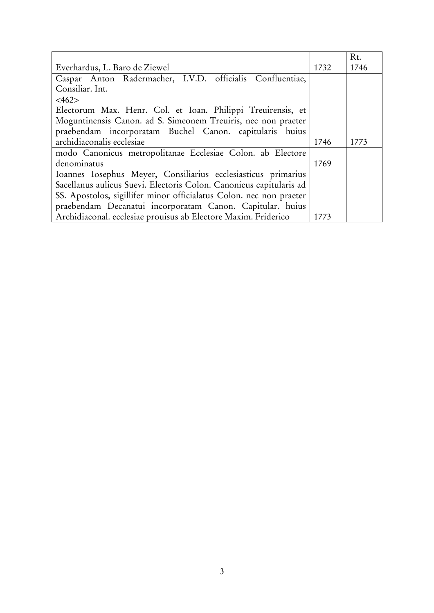| Everhardus, L. Baro de Ziewel                                       |      | Rt.<br>1746 |
|---------------------------------------------------------------------|------|-------------|
|                                                                     | 1732 |             |
| Caspar Anton Radermacher, I.V.D. officialis Confluentiae,           |      |             |
| Consiliar. Int.                                                     |      |             |
| $<\frac{462}{ }$                                                    |      |             |
| Electorum Max. Henr. Col. et Ioan. Philippi Treuirensis, et         |      |             |
| Moguntinensis Canon. ad S. Simeonem Treuiris, nec non praeter       |      |             |
| praebendam incorporatam Buchel Canon. capitularis huius             |      |             |
| archidiaconalis ecclesiae                                           | 1746 | 1773        |
| modo Canonicus metropolitanae Ecclesiae Colon. ab Electore          |      |             |
| denominatus                                                         | 1769 |             |
| Ioannes Iosephus Meyer, Consiliarius ecclesiasticus primarius       |      |             |
| Sacellanus aulicus Suevi. Electoris Colon. Canonicus capitularis ad |      |             |
| SS. Apostolos, sigillifer minor officialatus Colon. nec non praeter |      |             |
| praebendam Decanatui incorporatam Canon. Capitular. huius           |      |             |
| Archidiaconal. ecclesiae prouisus ab Electore Maxim. Friderico      | 1773 |             |
|                                                                     |      |             |